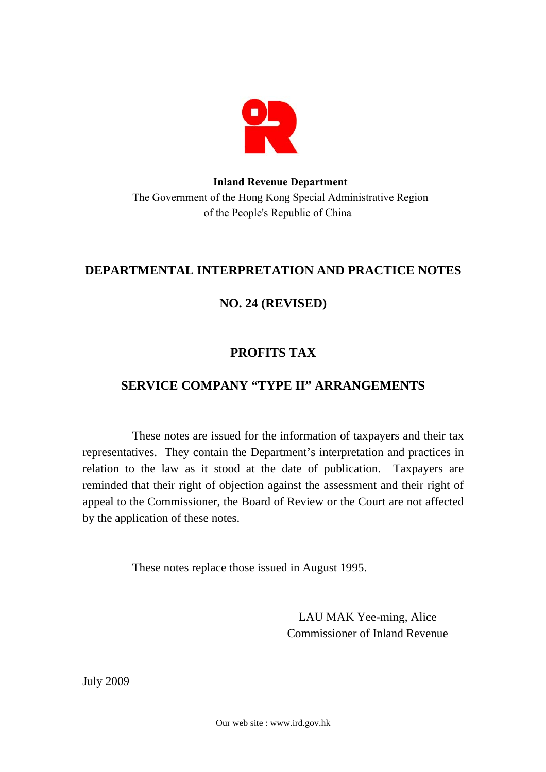

### **Inland Revenue Department**  The Government of the Hong Kong Special Administrative Region of the People's Republic of China

# **DEPARTMENTAL INTERPRETATION AND PRACTICE NOTES**

# **NO. 24 (REVISED)**

# **PROFITS TAX**

# **SERVICE COMPANY "TYPE II" ARRANGEMENTS**

These notes are issued for the information of taxpayers and their tax representatives. They contain the Department's interpretation and practices in relation to the law as it stood at the date of publication. Taxpayers are reminded that their right of objection against the assessment and their right of appeal to the Commissioner, the Board of Review or the Court are not affected by the application of these notes.

These notes replace those issued in August 1995.

LAU MAK Yee-ming, Alice Commissioner of Inland Revenue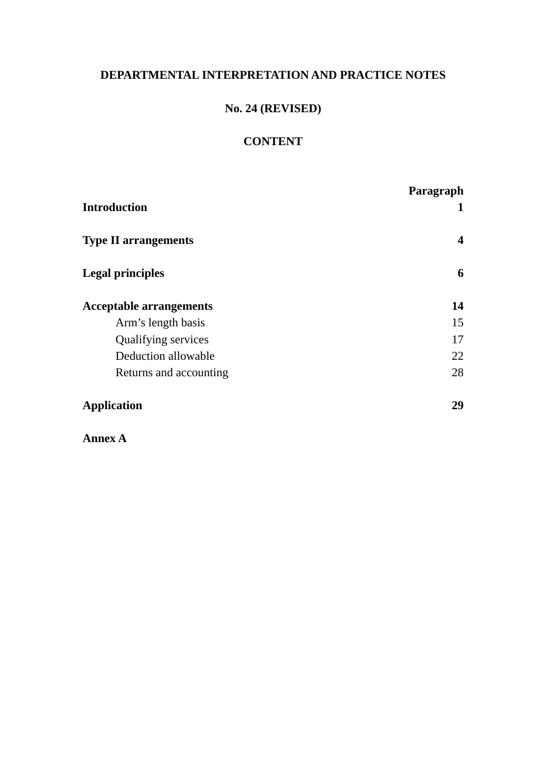## **DEPARTMENTAL INTERPRETATION AND PRACTICE NOTES**

## **No. 24 (REVISED)**

# **CONTENT**

| <b>Introduction</b>            | Paragraph<br>1 |
|--------------------------------|----------------|
| <b>Type II arrangements</b>    | 4              |
| <b>Legal principles</b>        | 6              |
| <b>Acceptable arrangements</b> | 14             |
| Arm's length basis             | 15             |
| <b>Qualifying services</b>     | 17             |
| Deduction allowable            | 22             |
| Returns and accounting         | 28             |
| <b>Application</b>             | 29             |

**Annex A**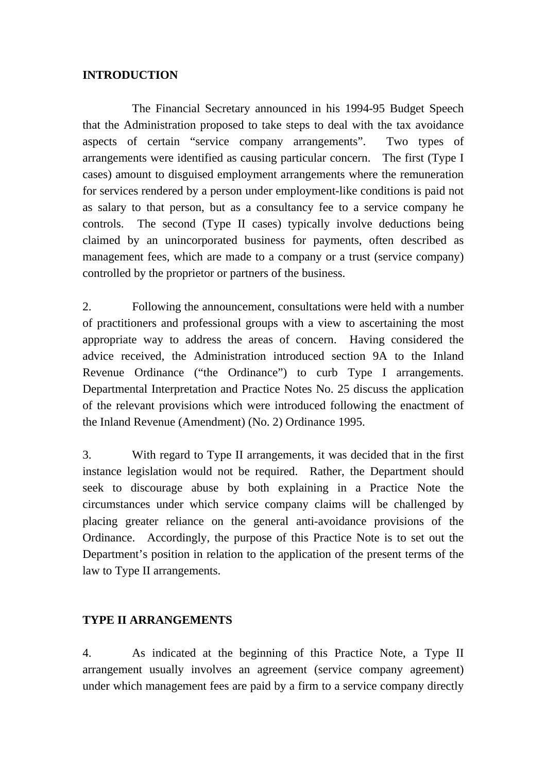### **INTRODUCTION**

The Financial Secretary announced in his 1994-95 Budget Speech that the Administration proposed to take steps to deal with the tax avoidance aspects of certain "service company arrangements". Two types of arrangements were identified as causing particular concern. The first (Type I cases) amount to disguised employment arrangements where the remuneration for services rendered by a person under employment-like conditions is paid not as salary to that person, but as a consultancy fee to a service company he controls. The second (Type II cases) typically involve deductions being claimed by an unincorporated business for payments, often described as management fees, which are made to a company or a trust (service company) controlled by the proprietor or partners of the business.

2. Following the announcement, consultations were held with a number of practitioners and professional groups with a view to ascertaining the most appropriate way to address the areas of concern. Having considered the advice received, the Administration introduced section 9A to the Inland Revenue Ordinance ("the Ordinance") to curb Type I arrangements. Departmental Interpretation and Practice Notes No. 25 discuss the application of the relevant provisions which were introduced following the enactment of the Inland Revenue (Amendment) (No. 2) Ordinance 1995.

 instance legislation would not be required. Rather, the Department should 3. With regard to Type II arrangements, it was decided that in the first seek to discourage abuse by both explaining in a Practice Note the circumstances under which service company claims will be challenged by placing greater reliance on the general anti-avoidance provisions of the Ordinance. Accordingly, the purpose of this Practice Note is to set out the Department's position in relation to the application of the present terms of the law to Type II arrangements.

### **TYPE II ARRANGEMENTS**

4. As indicated at the beginning of this Practice Note, a Type II arrangement usually involves an agreement (service company agreement) under which management fees are paid by a firm to a service company directly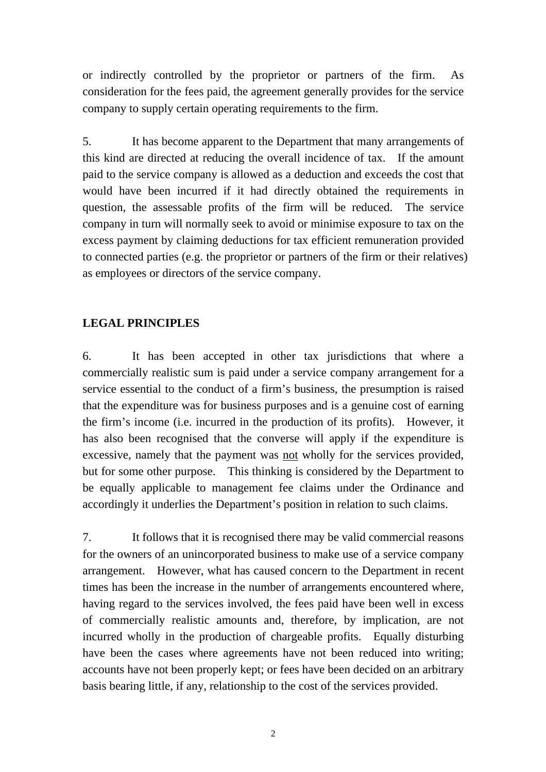or indirectly controlled by the proprietor or partners of the firm. As consideration for the fees paid, the agreement generally provides for the service company to supply certain operating requirements to the firm.

5. It has become apparent to the Department that many arrangements of this kind are directed at reducing the overall incidence of tax. If the amount paid to the service company is allowed as a deduction and exceeds the cost that would have been incurred if it had directly obtained the requirements in question, the assessable profits of the firm will be reduced. The service company in turn will normally seek to avoid or minimise exposure to tax on the excess payment by claiming deductions for tax efficient remuneration provided to connected parties (e.g. the proprietor or partners of the firm or their relatives) as employees or directors of the service company.

### **LEGAL PRINCIPLES**

6. It has been accepted in other tax jurisdictions that where a commercially realistic sum is paid under a service company arrangement for a service essential to the conduct of a firm's business, the presumption is raised that the expenditure was for business purposes and is a genuine cost of earning the firm's income (i.e. incurred in the production of its profits). However, it has also been recognised that the converse will apply if the expenditure is excessive, namely that the payment was not wholly for the services provided, but for some other purpose. This thinking is considered by the Department to be equally applicable to management fee claims under the Ordinance and accordingly it underlies the Department's position in relation to such claims.

7. It follows that it is recognised there may be valid commercial reasons for the owners of an unincorporated business to make use of a service company arrangement. However, what has caused concern to the Department in recent times has been the increase in the number of arrangements encountered where, having regard to the services involved, the fees paid have been well in excess of commercially realistic amounts and, therefore, by implication, are not incurred wholly in the production of chargeable profits. Equally disturbing have been the cases where agreements have not been reduced into writing; accounts have not been properly kept; or fees have been decided on an arbitrary basis bearing little, if any, relationship to the cost of the services provided.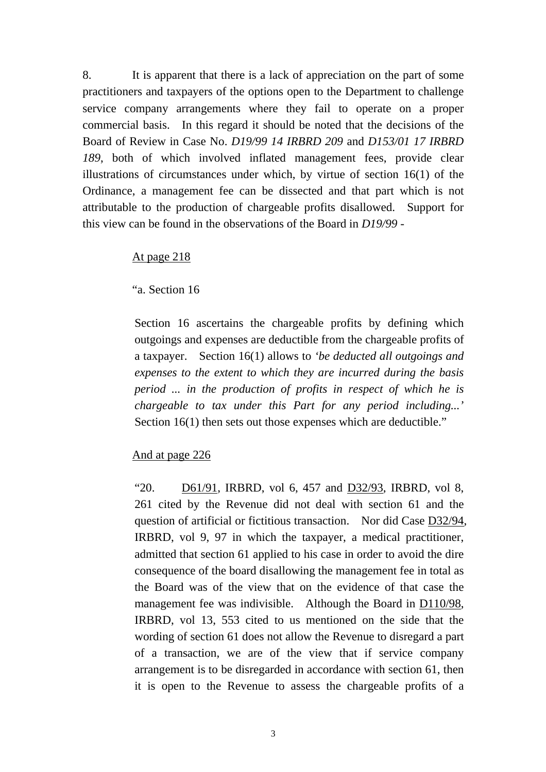8. It is apparent that there is a lack of appreciation on the part of some practitioners and taxpayers of the options open to the Department to challenge service company arrangements where they fail to operate on a proper commercial basis. In this regard it should be noted that the decisions of the Board of Review in Case No. *D19/99 14 IRBRD 209* and *D153/01 17 IRBRD 189*, both of which involved inflated management fees, provide clear illustrations of circumstances under which, by virtue of section 16(1) of the Ordinance, a management fee can be dissected and that part which is not attributable to the production of chargeable profits disallowed. Support for this view can be found in the observations of the Board in *D19/99* -

#### At page 218

"a. Section 16

Section 16 ascertains the chargeable profits by defining which outgoings and expenses are deductible from the chargeable profits of a taxpayer. Section 16(1) allows to *'be deducted all outgoings and expenses to the extent to which they are incurred during the basis period ... in the production of profits in respect of which he is chargeable to tax under this Part for any period including...'*  Section 16(1) then sets out those expenses which are deductible."

### And at page 226

"20. D61/91, IRBRD, vol 6, 457 and D32/93, IRBRD, vol 8, 261 cited by the Revenue did not deal with section 61 and the question of artificial or fictitious transaction. Nor did Case D32/94, IRBRD, vol 9, 97 in which the taxpayer, a medical practitioner, admitted that section 61 applied to his case in order to avoid the dire consequence of the board disallowing the management fee in total as the Board was of the view that on the evidence of that case the management fee was indivisible. Although the Board in D110/98, IRBRD, vol 13, 553 cited to us mentioned on the side that the wording of section 61 does not allow the Revenue to disregard a part of a transaction, we are of the view that if service company arrangement is to be disregarded in accordance with section 61, then it is open to the Revenue to assess the chargeable profits of a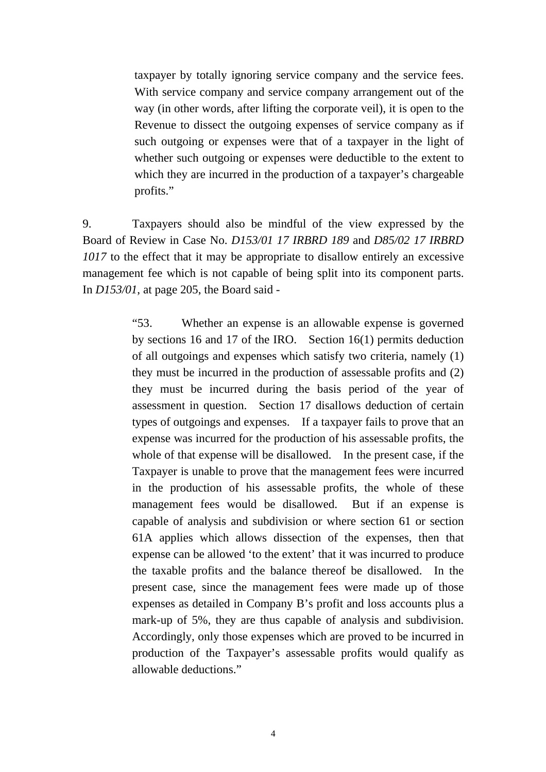<span id="page-5-0"></span>taxpayer by totally ignoring service company and the service fees. With service company and service company arrangement out of the way (in other words, after lifting the corporate veil), it is open to the Revenue to dissect the outgoing expenses of service company as if such outgoing or expenses were that of a taxpayer in the light of whether such outgoing or expenses were deductible to the extent to which they are incurred in the production of a taxpayer's chargeable profits."

9. Taxpayers should also be mindful of the view expressed by the Board of Review in Case No. *D153/01 17 IRBRD 189* and *D85/02 17 IRBRD 1017* to the effect that it may be appropriate to disallow entirely an excessive management fee which is not capable of being split into its component parts. In *D153/01*, at page 205, the Board said -

> by sections 16 and 17 of the IRO. Section 16(1) permits deduction "53. Whether an expense is an allowable expense is governed of all outgoings and expenses which satisfy two criteria, namely (1) they must be incurred in the production of assessable profits and (2) they must be incurred during the basis period of the year of assessment in question. Section 17 disallows deduction of certain types of outgoings and expenses. If a taxpayer fails to prove that an expense was incurred for the production of his assessable profits, the whole of that expense will be disallowed. In the present case, if the Taxpayer is unable to prove that the management fees were incurred in the production of his assessable profits, the whole of these management fees would be disallowed. But if an expense is capable of analysis and subdivision or where section 61 or section 61A applies which allows dissection of the expenses, then that expense can be allowed 'to the extent' that it was incurred to produce the taxable profits and the balance thereof be disallowed. In the present case, since the management fees were made up of those expenses as detailed in Company B's profit and loss accounts plus a mark-up of 5%, they are thus capable of analysis and subdivision. Accordingly, only those expenses which are proved to be incurred in production of the Taxpayer's assessable profits would qualify as allowable deductions."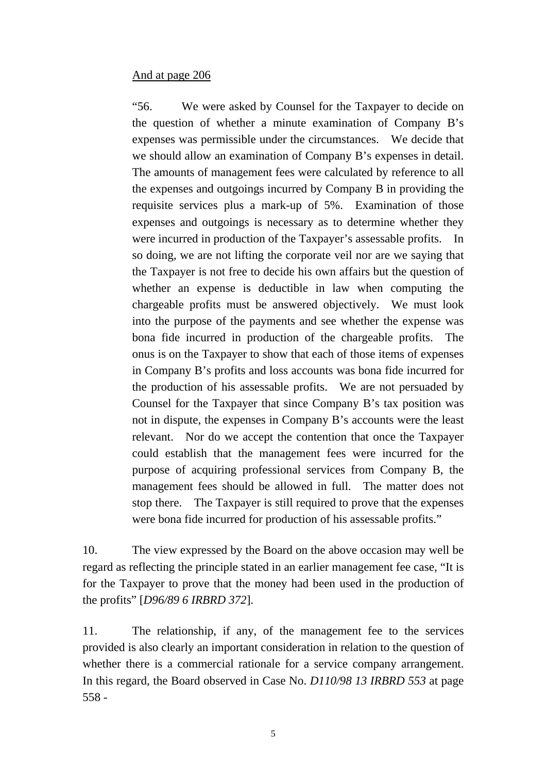### And at page 206

"56. We were asked by Counsel for the Taxpayer to decide on the question of whether a minute examination of Company B's expenses was permissible under the circumstances. We decide that we should allow an examination of Company B's expenses in detail. The amounts of management fees were calculated by reference to all the expenses and outgoings incurred by Company B in providing the requisite services plus a mark-up of 5%. Examination of those expenses and outgoings is necessary as to determine whether they were incurred in production of the Taxpayer's assessable profits. In so doing, we are not lifting the corporate veil nor are we saying that the Taxpayer is not free to decide his own affairs but the question of whether an expense is deductible in law when computing the chargeable profits must be answered objectively. We must look into the purpose of the payments and see whether the expense was bona fide incurred in production of the chargeable profits. The onus is on the Taxpayer to show that each of those items of expenses in Company B's profits and loss accounts was bona fide incurred for the production of his assessable profits. We are not persuaded by Counsel for the Taxpayer that since Company B's tax position was not in dispute, the expenses in Company B's accounts were the least relevant. Nor do we accept the contention that once the Taxpayer could establish that the management fees were incurred for the purpose of acquiring professional services from Company B, the management fees should be allowed in full. The matter does not stop there. The Taxpayer is still required to prove that the expenses were bona fide incurred for production of his assessable profits."

10. The view expressed by the Board on the above occasion may well be regard as reflecting the principle stated in an earlier management fee case, "It is for the Taxpayer to prove that the money had been used in the production of the profits" [*D96/89 6 IRBRD 372*].

11. The relationship, if any, of the management fee to the services provided is also clearly an important consideration in relation to the question of whether there is a commercial rationale for a service company arrangement. In this regard, the Board observed in Case No. *D110/98 13 IRBRD 553* at page 558 -

5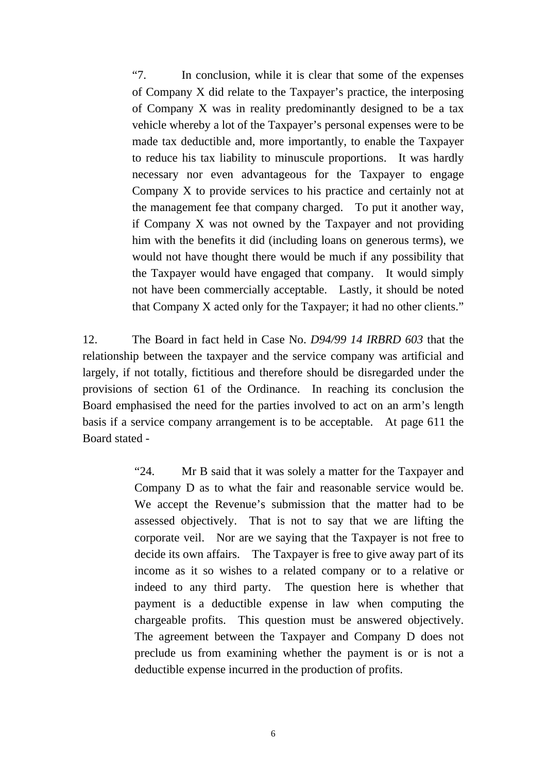<span id="page-7-0"></span>"7. In conclusion, while it is clear that some of the expenses of Company X did relate to the Taxpayer's practice, the interposing of Company X was in reality predominantly designed to be a tax vehicle whereby a lot of the Taxpayer's personal expenses were to be made tax deductible and, more importantly, to enable the Taxpayer to reduce his tax liability to minuscule proportions. It was hardly necessary nor even advantageous for the Taxpayer to engage Company X to provide services to his practice and certainly not at the management fee that company charged. To put it another way, if Company X was not owned by the Taxpayer and not providing him with the benefits it did (including loans on generous terms), we would not have thought there would be much if any possibility that the Taxpayer would have engaged that company. It would simply not have been commercially acceptable. Lastly, it should be noted that Company X acted only for the Taxpayer; it had no other clients."

12. The Board in fact held in Case No. *D94/99 14 IRBRD 603* that the relationship between the taxpayer and the service company was artificial and largely, if not totally, fictitious and therefore should be disregarded under the provisions of section 61 of the Ordinance. In reaching its conclusion the Board emphasised the need for the parties involved to act on an arm's length basis if a service company arrangement is to be acceptable. At page 611 the Board stated -

> "24. Mr B said that it was solely a matter for the Taxpayer and Company D as to what the fair and reasonable service would be. We accept the Revenue's submission that the matter had to be assessed objectively. That is not to say that we are lifting the corporate veil. Nor are we saying that the Taxpayer is not free to decide its own affairs. The Taxpayer is free to give away part of its income as it so wishes to a related company or to a relative or indeed to any third party. The question here is whether that payment is a deductible expense in law when computing the chargeable profits. This question must be answered objectively. The agreement between the Taxpayer and Company D does not preclude us from examining whether the payment is or is not a deductible expense incurred in the production of profits.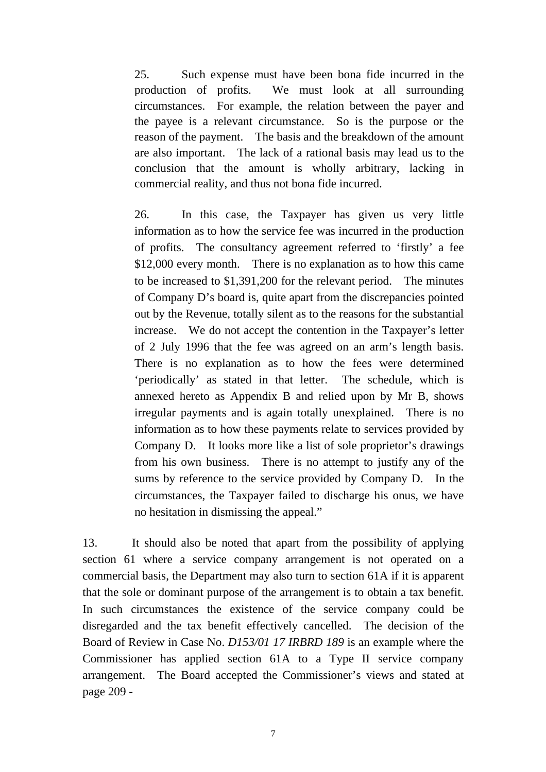reason of the payment. The basis and the breakdown of the amount 25. Such expense must have been bona fide incurred in the production of profits. We must look at all surrounding circumstances. For example, the relation between the payer and the payee is a relevant circumstance. So is the purpose or the are also important. The lack of a rational basis may lead us to the conclusion that the amount is wholly arbitrary, lacking in commercial reality, and thus not bona fide incurred.

26. In this case, the Taxpayer has given us very little information as to how the service fee was incurred in the production of profits. The consultancy agreement referred to 'firstly' a fee \$12,000 every month. There is no explanation as to how this came to be increased to \$1,391,200 for the relevant period. The minutes of Company D's board is, quite apart from the discrepancies pointed out by the Revenue, totally silent as to the reasons for the substantial increase. We do not accept the contention in the Taxpayer's letter of 2 July 1996 that the fee was agreed on an arm's length basis. There is no explanation as to how the fees were determined 'periodically' as stated in that letter. The schedule, which is annexed hereto as Appendix B and relied upon by Mr B, shows irregular payments and is again totally unexplained. There is no information as to how these payments relate to services provided by Company D. It looks more like a list of sole proprietor's drawings from his own business. There is no attempt to justify any of the sums by reference to the service provided by Company D. In the circumstances, the Taxpayer failed to discharge his onus, we have no hesitation in dismissing the appeal."

13. It should also be noted that apart from the possibility of applying section 61 where a service company arrangement is not operated on a commercial basis, the Department may also turn to section 61A if it is apparent that the sole or dominant purpose of the arrangement is to obtain a tax benefit. In such circumstances the existence of the service company could be disregarded and the tax benefit effectively cancelled. The decision of the Board of Review in Case No. *D153/01 17 IRBRD 189* is an example where the Commissioner has applied section 61A to a Type II service company arrangement. The Board accepted the Commissioner's views and stated at page 209 -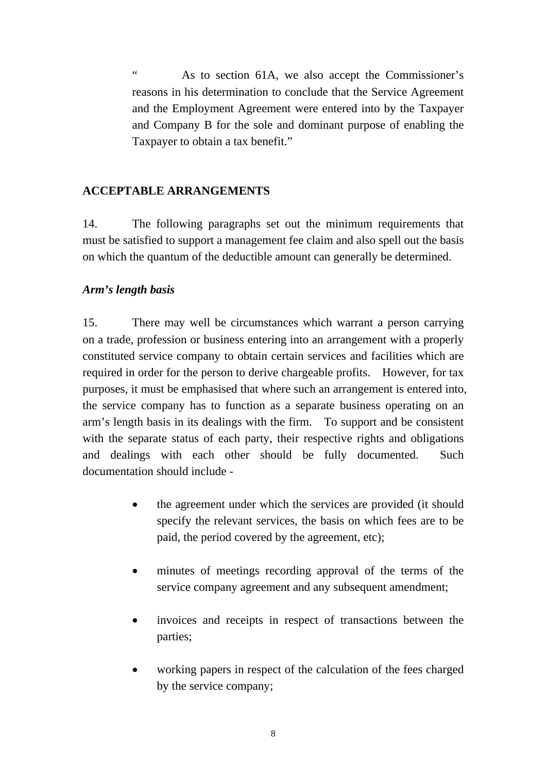" As to section 61A, we also accept the Commissioner's reasons in his determination to conclude that the Service Agreement and the Employment Agreement were entered into by the Taxpayer and Company B for the sole and dominant purpose of enabling the Taxpayer to obtain a tax benefit."

#### **ACCEPTABLE ARRANGEMENTS**

14. The following paragraphs set out the minimum requirements that must be satisfied to support a management fee claim and also spell out the basis on which the quantum of the deductible amount can generally be determined.

#### *Arm's length basis*

15. There may well be circumstances which warrant a person carrying on a trade, profession or business entering into an arrangement with a properly constituted service company to obtain certain services and facilities which are required in order for the person to derive chargeable profits. However, for tax purposes, it must be emphasised that where such an arrangement is entered into, the service company has to function as a separate business operating on an arm's length basis in its dealings with the firm. To support and be consistent with the separate status of each party, their respective rights and obligations and dealings with each other should be fully documented. Such documentation should include -

- the agreement under which the services are provided (it should specify the relevant services, the basis on which fees are to be paid, the period covered by the agreement, etc);
- minutes of meetings recording approval of the terms of the service company agreement and any subsequent amendment;
- invoices and receipts in respect of transactions between the parties;
- working papers in respect of the calculation of the fees charged by the service company;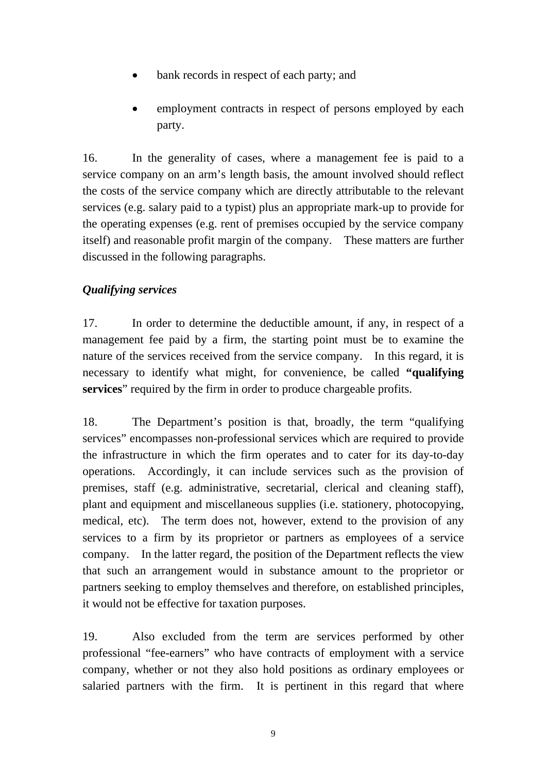- bank records in respect of each party; and
- employment contracts in respect of persons employed by each party.

16. In the generality of cases, where a management fee is paid to a service company on an arm's length basis, the amount involved should reflect the costs of the service company which are directly attributable to the relevant services (e.g. salary paid to a typist) plus an appropriate mark-up to provide for the operating expenses (e.g. rent of premises occupied by the service company itself) and reasonable profit margin of the company. These matters are further discussed in the following paragraphs.

### *Qualifying services*

17. In order to determine the deductible amount, if any, in respect of a management fee paid by a firm, the starting point must be to examine the nature of the services received from the service company. In this regard, it is necessary to identify what might, for convenience, be called **"qualifying services**" required by the firm in order to produce chargeable profits.

18. The Department's position is that, broadly, the term "qualifying services" encompasses non-professional services which are required to provide the infrastructure in which the firm operates and to cater for its day-to-day operations. Accordingly, it can include services such as the provision of premises, staff (e.g. administrative, secretarial, clerical and cleaning staff), plant and equipment and miscellaneous supplies (i.e. stationery, photocopying, medical, etc). The term does not, however, extend to the provision of any services to a firm by its proprietor or partners as employees of a service company. In the latter regard, the position of the Department reflects the view that such an arrangement would in substance amount to the proprietor or partners seeking to employ themselves and therefore, on established principles, it would not be effective for taxation purposes.

19. Also excluded from the term are services performed by other professional "fee-earners" who have contracts of employment with a service company, whether or not they also hold positions as ordinary employees or salaried partners with the firm. It is pertinent in this regard that where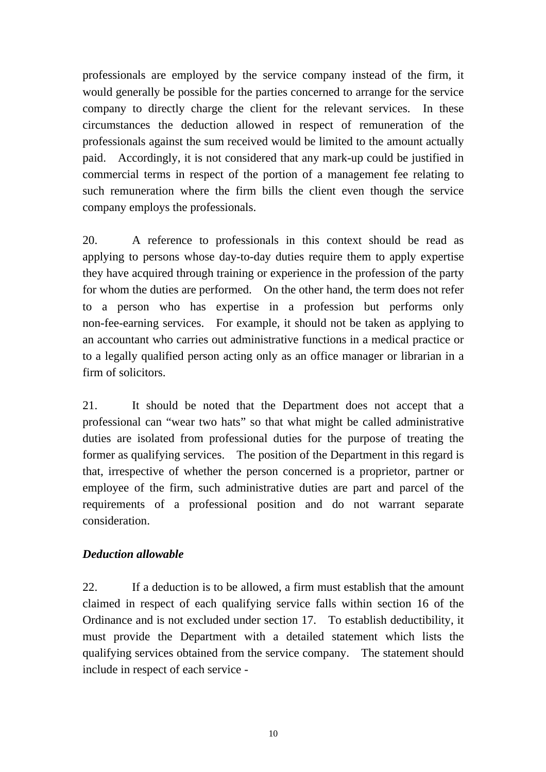professionals are employed by the service company instead of the firm, it would generally be possible for the parties concerned to arrange for the service company to directly charge the client for the relevant services. In these circumstances the deduction allowed in respect of remuneration of the professionals against the sum received would be limited to the amount actually paid. Accordingly, it is not considered that any mark-up could be justified in commercial terms in respect of the portion of a management fee relating to such remuneration where the firm bills the client even though the service company employs the professionals.

20. A reference to professionals in this context should be read as applying to persons whose day-to-day duties require them to apply expertise they have acquired through training or experience in the profession of the party for whom the duties are performed. On the other hand, the term does not refer to a person who has expertise in a profession but performs only non-fee-earning services. For example, it should not be taken as applying to an accountant who carries out administrative functions in a medical practice or to a legally qualified person acting only as an office manager or librarian in a firm of solicitors.

21. It should be noted that the Department does not accept that a professional can "wear two hats" so that what might be called administrative duties are isolated from professional duties for the purpose of treating the former as qualifying services. The position of the Department in this regard is that, irrespective of whether the person concerned is a proprietor, partner or employee of the firm, such administrative duties are part and parcel of the requirements of a professional position and do not warrant separate consideration.

### *Deduction allowable*

22. If a deduction is to be allowed, a firm must establish that the amount claimed in respect of each qualifying service falls within section 16 of the Ordinance and is not excluded under section 17. To establish deductibility, it must provide the Department with a detailed statement which lists the qualifying services obtained from the service company. The statement should include in respect of each service -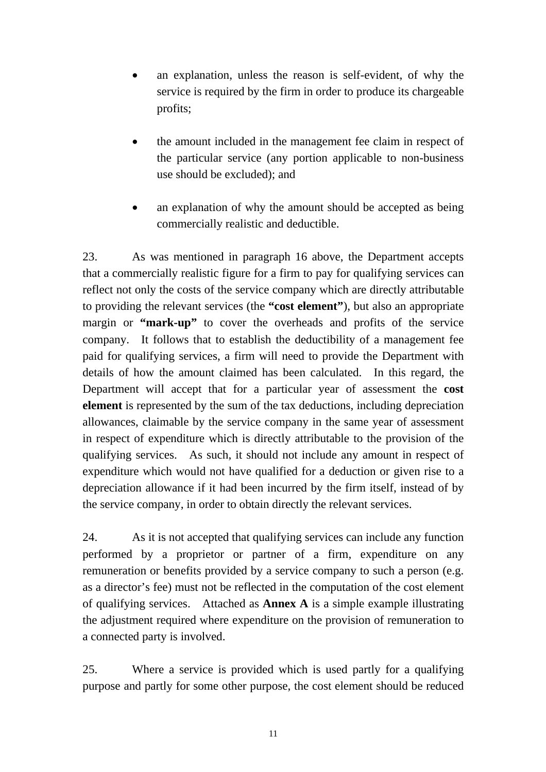- an explanation, unless the reason is self-evident, of why the service is required by the firm in order to produce its chargeable profits;
- the amount included in the management fee claim in respect of the particular service (any portion applicable to non-business use should be excluded); and
- an explanation of why the amount should be accepted as being commercially realistic and deductible.

23. As was mentioned in paragraph 16 above, the Department accepts that a commercially realistic figure for a firm to pay for qualifying services can reflect not only the costs of the service company which are directly attributable to providing the relevant services (the **"cost element"**), but also an appropriate margin or **"mark-up"** to cover the overheads and profits of the service company. It follows that to establish the deductibility of a management fee paid for qualifying services, a firm will need to provide the Department with details of how the amount claimed has been calculated. In this regard, the Department will accept that for a particular year of assessment the **cost element** is represented by the sum of the tax deductions, including depreciation allowances, claimable by the service company in the same year of assessment in respect of expenditure which is directly attributable to the provision of the qualifying services. As such, it should not include any amount in respect of expenditure which would not have qualified for a deduction or given rise to a depreciation allowance if it had been incurred by the firm itself, instead of by the service company, in order to obtain directly the relevant services.

24. As it is not accepted that qualifying services can include any function performed by a proprietor or partner of a firm, expenditure on any remuneration or benefits provided by a service company to such a person (e.g. as a director's fee) must not be reflected in the computation of the cost element of qualifying services. Attached as **Annex A** is a simple example illustrating the adjustment required where expenditure on the provision of remuneration to a connected party is involved.

25. Where a service is provided which is used partly for a qualifying purpose and partly for some other purpose, the cost element should be reduced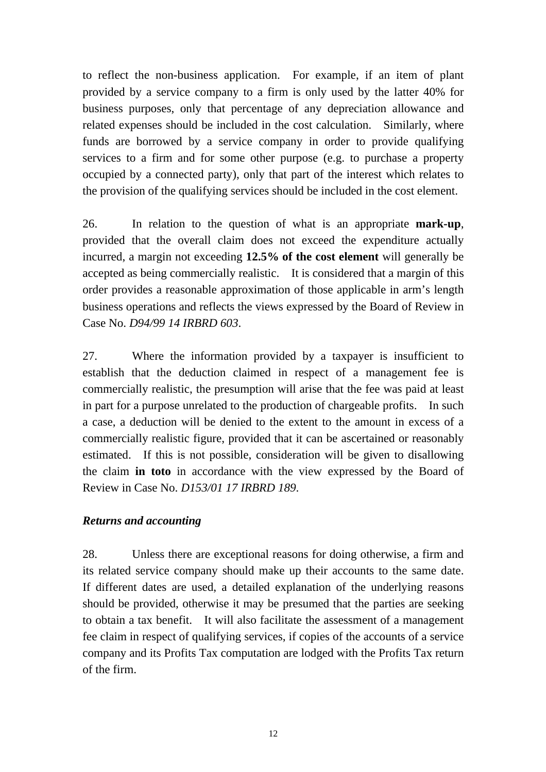to reflect the non-business application. For example, if an item of plant provided by a service company to a firm is only used by the latter 40% for business purposes, only that percentage of any depreciation allowance and related expenses should be included in the cost calculation. Similarly, where funds are borrowed by a service company in order to provide qualifying services to a firm and for some other purpose (e.g. to purchase a property occupied by a connected party), only that part of the interest which relates to the provision of the qualifying services should be included in the cost element.

26. In relation to the question of what is an appropriate **mark-up**, provided that the overall claim does not exceed the expenditure actually incurred, a margin not exceeding **12.5% of the cost element** will generally be accepted as being commercially realistic. It is considered that a margin of this order provides a reasonable approximation of those applicable in arm's length business operations and reflects the views expressed by the Board of Review in Case No. *D94/99 14 IRBRD 603*.

27. Where the information provided by a taxpayer is insufficient to establish that the deduction claimed in respect of a management fee is commercially realistic, the presumption will arise that the fee was paid at least in part for a purpose unrelated to the production of chargeable profits. In such a case, a deduction will be denied to the extent to the amount in excess of a commercially realistic figure, provided that it can be ascertained or reasonably estimated. If this is not possible, consideration will be given to disallowing the claim **in toto** in accordance with the view expressed by the Board of Review in Case No. *D153/01 17 IRBRD 189*.

### *Returns and accounting*

28. Unless there are exceptional reasons for doing otherwise, a firm and its related service company should make up their accounts to the same date. If different dates are used, a detailed explanation of the underlying reasons should be provided, otherwise it may be presumed that the parties are seeking to obtain a tax benefit. It will also facilitate the assessment of a management fee claim in respect of qualifying services, if copies of the accounts of a service company and its Profits Tax computation are lodged with the Profits Tax return of the firm.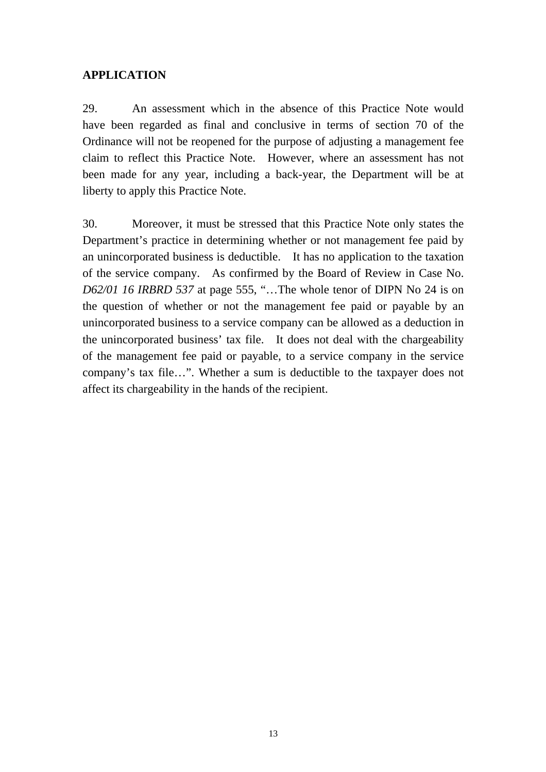### **APPLICATION**

29. An assessment which in the absence of this Practice Note would have been regarded as final and conclusive in terms of section 70 of the Ordinance will not be reopened for the purpose of adjusting a management fee claim to reflect this Practice Note. However, where an assessment has not been made for any year, including a back-year, the Department will be at liberty to apply this Practice Note.

30. Moreover, it must be stressed that this Practice Note only states the Department's practice in determining whether or not management fee paid by an unincorporated business is deductible. It has no application to the taxation of the service company. As confirmed by the Board of Review in Case No. *D62/01 16 IRBRD 537* at page 555, "…The whole tenor of DIPN No 24 is on the question of whether or not the management fee paid or payable by an unincorporated business to a service company can be allowed as a deduction in the unincorporated business' tax file. It does not deal with the chargeability of the management fee paid or payable, to a service company in the service company's tax file…". Whether a sum is deductible to the taxpayer does not affect its chargeability in the hands of the recipient.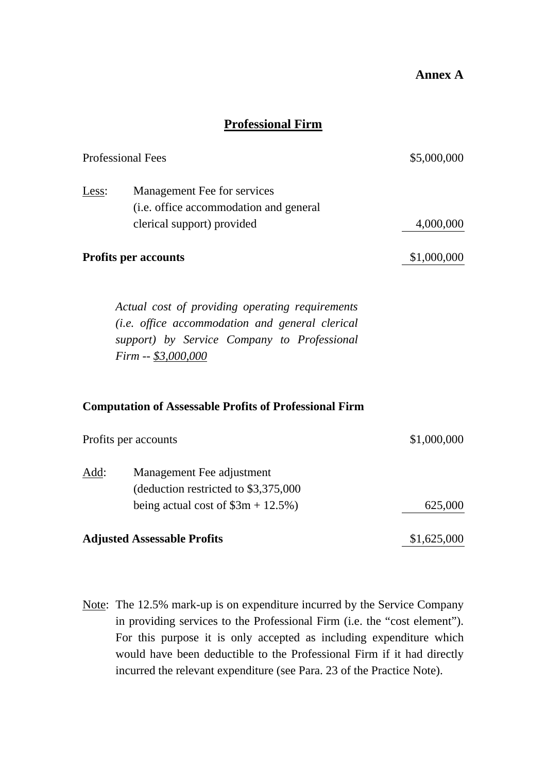### **Professional Firm**

| <b>Professional Fees</b> |                                                                                                                                                                          | \$5,000,000 |
|--------------------------|--------------------------------------------------------------------------------------------------------------------------------------------------------------------------|-------------|
| Less:                    | Management Fee for services<br>(i.e. office accommodation and general<br>clerical support) provided                                                                      | 4,000,000   |
|                          | <b>Profits per accounts</b>                                                                                                                                              | \$1,000,000 |
|                          | Actual cost of providing operating requirements<br>(i.e. office accommodation and general clerical<br>support) by Service Company to Professional<br>Firm -- \$3,000,000 |             |
|                          | <b>Computation of Assessable Profits of Professional Firm</b>                                                                                                            |             |
|                          | Profits per accounts                                                                                                                                                     | \$1,000,000 |
| Add:                     | Management Fee adjustment<br>(deduction restricted to \$3,375,000<br>being actual cost of $\$3m + 12.5\%)$                                                               | 625,000     |
|                          | <b>Adjusted Assessable Profits</b>                                                                                                                                       | \$1,625,000 |

Note: The 12.5% mark-up is on expenditure incurred by the Service Company in providing services to the Professional Firm (i.e. the "cost element"). For this purpose it is only accepted as including expenditure which would have been deductible to the Professional Firm if it had directly incurred the relevant expenditure (see Para. 23 of the Practice Note).